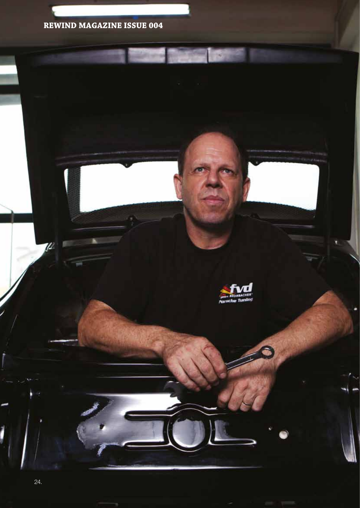# **REWIND MAGAZINE ISSUE 004**



 $\mu$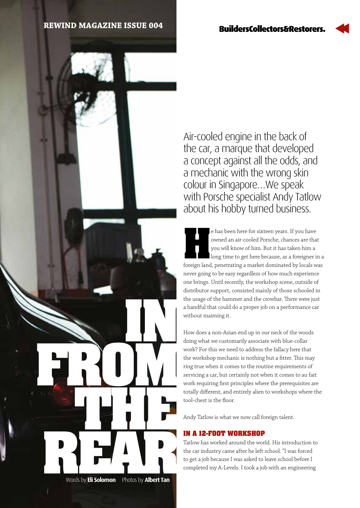### **REWIND MAGAZINE ISSUE 004**



Air-cooled engine in the back of the car, a marque that developed a concept against all the odds, and a mechanic with the wrong skin colour in Singapore…We speak with Porsche specialist Andy Tatlow about his hobby turned business.

Fe has been here for sixteen years. If you have<br>
owned an air-cooled Porsche, chances are tha<br>
you will know of him. But it has taken him a<br>
long time to get here because, as a foreigner if<br>
foreign land, penetrating a mar owned an air-cooled Porsche, chances are that you will know of him. But it has taken him a long time to get here because, as a foreigner in a foreign land, penetrating a market dominated by locals was never going to be easy regardless of how much experience one brings. Until recently, the workshop scene, outside of distributor support, consisted mainly of those schooled in the usage of the hammer and the crowbar. There were just a handful that could do a proper job on a performance car without maiming it.

a han<br>With the with the state of the state of the state of the state of the state of the state of the state of the state of the state of the state of the state of the state of the state of the state of the state of the sta **From All Service** Service Service Service Service Service Service Service Service Service Service Service Service Service Service Service Service Service Service Service Service Service Service Service Service Service Ser **the column of the column of the column of the column of the column of the column of the column of the column of the column of the column of the column of the column of the column of the column of the column of the column** How does a non-Asian end up in our neck of the woods doing what we customarily associate with blue-collar work? For this we need to address the fallacy here that the workshop mechanic is nothing but a fitter. This may ring true when it comes to the routine requirements of servicing a car, but certainly not when it comes to au fait work requiring first principles where the prerequisites are totally different, and entirely alien to workshops where the tool-chest is the floor.

Andy Tatlow is what we now call foreign talent.

#### **In a 12-foot workshop**

Tatlow has worked around the world. His introduction to the car industry came after he left school. "I was forced to get a job because I was asked to leave school before I completed my A-Levels. I took a job with an engineering

Tatlobus<br>
Words by **Eli Solomon** Photos by **Albert Tan** Words by **Eli Solomon** Photos by **Albert Tan** .25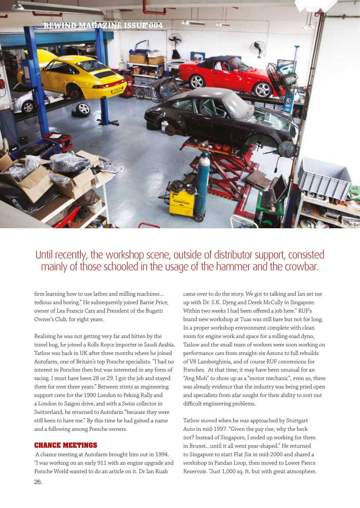

# Until recently, the workshop scene, outside of distributor support, consisted mainly of those schooled in the usage of the hammer and the crowbar.

firm learning how to use lathes and milling machines… tedious and boring." He subsequently joined Barrie Price, owner of Lea Francis Cars and President of the Bugatti Owner's Club, for eight years.

Realising he was not getting very far and bitten by the travel bug, he joined a Rolls Royce importer in Saudi Arabia. Tatlow was back in UK after three months where he joined Autofarm, one of Britain's top Porsche specialists. "I had no interest in Porsches then but was interested in any form of racing. I must have been 28 or 29. I got the job and stayed there for over three years." Between stints as engineering support crew for the 1990 London to Peking Rally and a London to Saigon drive, and with a Swiss collector in Switzerland, he returned to Autofarm "because they were still keen to have me." By this time he had gained a name and a following among Porsche owners.

#### **Chance meetings**

 A chance meeting at Autofarm brought him out in 1994. "I was working on an early 911 with an engine upgrade and Porsche World wanted to do an article on it. Dr Ian Kuah

came over to do the story. We got to talking and Ian set me up with Dr. S.K. Djeng and Derek McCully in Singapore. Within two weeks I had been offered a job here." RUF's brand new workshop at Tuas was still bare but not for long. In a proper workshop environment complete with clean room for engine work and space for a rolling-road dyno, Tatlow and the small team of workers were soon working on performance cars from straight-six Astons to full rebuilds of V8 Lamborghinis, and of course RUF conversions for Porsches. At that time, it may have been unusual for an "Ang Moh" to show up as a "motor mechanic", even so, there was already evidence that the industry was being pried open and specialists from afar sought for their ability to sort out difficult engineering problems.

Tatlow moved when he was approached by Stuttgart Auto in mid-1997. "Given the pay rise, why the heck not? Instead of Singapore, I ended up working for them in Brunei…until it all went pear-shaped." He returned to Singapore to start Flat Six in mid-2000 and shared a workshop in Pandan Loop, then moved to Lower Pierce Reservoir. "Just 1,000 sq. ft. but with great atmosphere.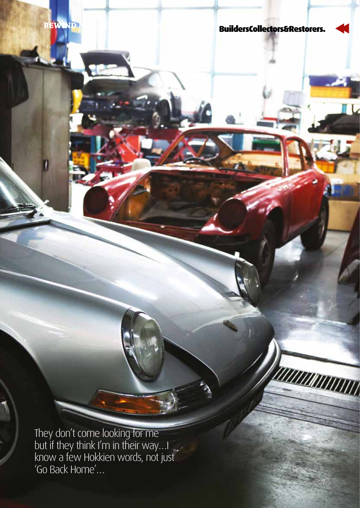**REWIND** 

BuildersCollectors&Restorers.

 $\overline{L}$ 

.27

WWWWWWW

They don't come looking for me but if they think I'm in their way…I know a few Hokkien words, not just 'Go Back Home'…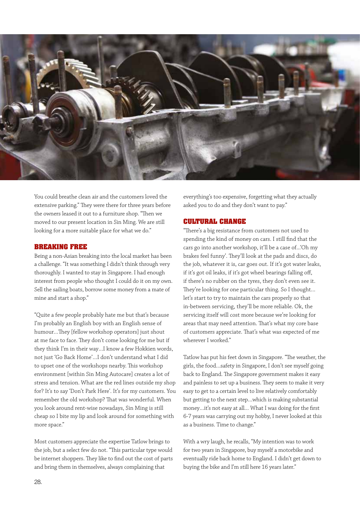

You could breathe clean air and the customers loved the extensive parking." They were there for three years before the owners leased it out to a furniture shop. "Then we moved to our present location in Sin Ming. We are still looking for a more suitable place for what we do."

#### **Breaking free**

Being a non-Asian breaking into the local market has been a challenge. "It was something I didn't think through very thoroughly. I wanted to stay in Singapore. I had enough interest from people who thought I could do it on my own. Sell the sailing boats, borrow some money from a mate of mine and start a shop."

"Quite a few people probably hate me but that's because I'm probably an English boy with an English sense of humour…They [fellow workshop operators] just shout at me face to face. They don't come looking for me but if they think I'm in their way…I know a few Hokkien words, not just 'Go Back Home'…I don't understand what I did to upset one of the workshops nearby. This workshop environment [within Sin Ming Autocare] creates a lot of stress and tension. What are the red lines outside my shop for? It's to say 'Don't Park Here'. It's for my customers. You remember the old workshop? That was wonderful. When you look around rent-wise nowadays, Sin Ming is still cheap so I bite my lip and look around for something with more space."

Most customers appreciate the expertise Tatlow brings to the job, but a select few do not. "This particular type would be internet shoppers. They like to find out the cost of parts and bring them in themselves, always complaining that

everything's too expensive, forgetting what they actually asked you to do and they don't want to pay."

# **Cultural change**

"There's a big resistance from customers not used to spending the kind of money on cars. I still find that the cars go into another workshop, it'll be a case of...'Oh my brakes feel funny'. They'll look at the pads and discs, do the job, whatever it is, car goes out. If it's got water leaks, if it's got oil leaks, if it's got wheel bearings falling off, if there's no rubber on the tyres, they don't even see it. They're looking for one particular thing. So I thought… let's start to try to maintain the cars properly so that in-between servicing, they'll be more reliable. Ok, the servicing itself will cost more because we're looking for areas that may need attention. That's what my core base of customers appreciate. That's what was expected of me wherever I worked."

Tatlow has put his feet down in Singapore. "The weather, the girls, the food…safety in Singapore, I don't see myself going back to England. The Singapore government makes it easy and painless to set up a business. They seem to make it very easy to get to a certain level to live relatively comfortably but getting to the next step…which is making substantial money…it's not easy at all… What I was doing for the first 6-7 years was carrying out my hobby, I never looked at this as a business. Time to change."

With a wry laugh, he recalls, "My intention was to work for two years in Singapore, buy myself a motorbike and eventually ride back home to England. I didn't get down to buying the bike and I'm still here 16 years later."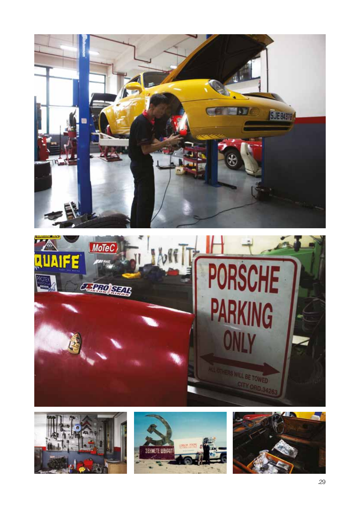





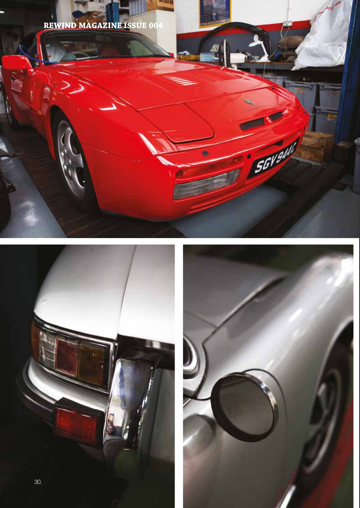